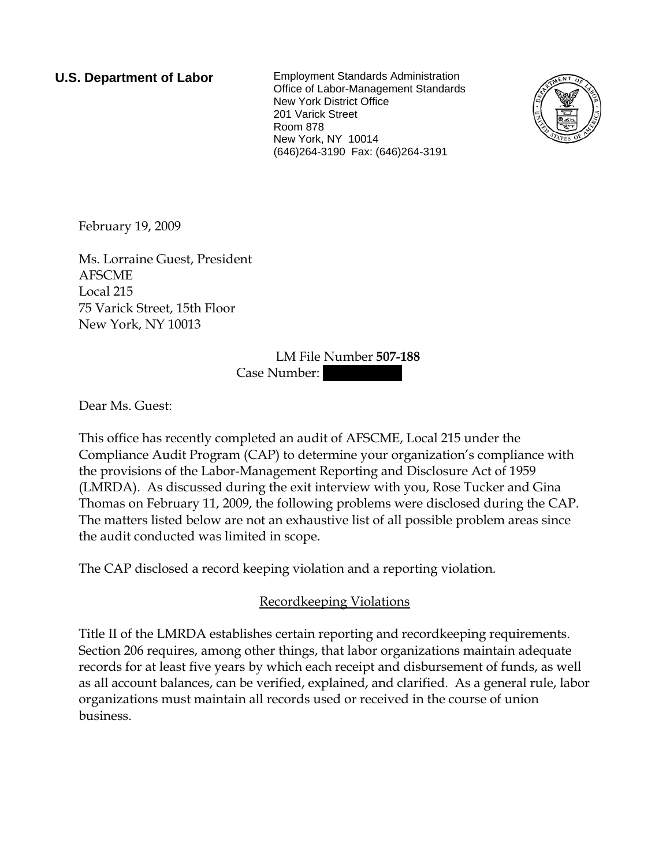**U.S. Department of Labor** Employment Standards Administration Office of Labor-Management Standards New York District Office 201 Varick Street Room 878 New York, NY 10014 (646)264-3190 Fax: (646)264-3191



February 19, 2009

Ms. Lorraine Guest, President AFSCME Local 215 75 Varick Street, 15th Floor New York, NY 10013

## LM File Number **507-188**

Case Number:

Dear Ms. Guest:

This office has recently completed an audit of AFSCME, Local 215 under the Compliance Audit Program (CAP) to determine your organization's compliance with the provisions of the Labor-Management Reporting and Disclosure Act of 1959 (LMRDA). As discussed during the exit interview with you, Rose Tucker and Gina Thomas on February 11, 2009, the following problems were disclosed during the CAP. The matters listed below are not an exhaustive list of all possible problem areas since the audit conducted was limited in scope.

The CAP disclosed a record keeping violation and a reporting violation.

## Recordkeeping Violations

Title II of the LMRDA establishes certain reporting and recordkeeping requirements. Section 206 requires, among other things, that labor organizations maintain adequate records for at least five years by which each receipt and disbursement of funds, as well as all account balances, can be verified, explained, and clarified. As a general rule, labor organizations must maintain all records used or received in the course of union business.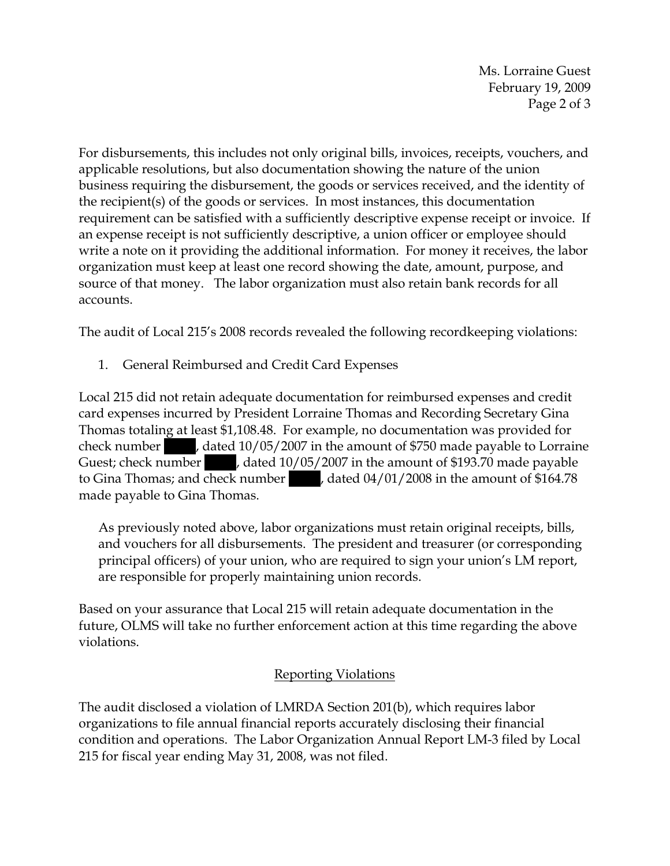Ms. Lorraine Guest February 19, 2009 Page 2 of 3

For disbursements, this includes not only original bills, invoices, receipts, vouchers, and applicable resolutions, but also documentation showing the nature of the union business requiring the disbursement, the goods or services received, and the identity of the recipient(s) of the goods or services. In most instances, this documentation requirement can be satisfied with a sufficiently descriptive expense receipt or invoice. If an expense receipt is not sufficiently descriptive, a union officer or employee should write a note on it providing the additional information. For money it receives, the labor organization must keep at least one record showing the date, amount, purpose, and source of that money. The labor organization must also retain bank records for all accounts.

The audit of Local 215's 2008 records revealed the following recordkeeping violations:

1. General Reimbursed and Credit Card Expenses

Local 215 did not retain adequate documentation for reimbursed expenses and credit card expenses incurred by President Lorraine Thomas and Recording Secretary Gina Thomas totaling at least \$1,108.48. For example, no documentation was provided for check number , dated 10/05/2007 in the amount of \$750 made payable to Lorraine Guest; check number , dated 10/05/2007 in the amount of \$193.70 made payable to Gina Thomas; and check number  $|$ , dated 04/01/2008 in the amount of \$164.78 made payable to Gina Thomas.

As previously noted above, labor organizations must retain original receipts, bills, and vouchers for all disbursements. The president and treasurer (or corresponding principal officers) of your union, who are required to sign your union's LM report, are responsible for properly maintaining union records.

Based on your assurance that Local 215 will retain adequate documentation in the future, OLMS will take no further enforcement action at this time regarding the above violations.

## Reporting Violations

The audit disclosed a violation of LMRDA Section 201(b), which requires labor organizations to file annual financial reports accurately disclosing their financial condition and operations. The Labor Organization Annual Report LM-3 filed by Local 215 for fiscal year ending May 31, 2008, was not filed.